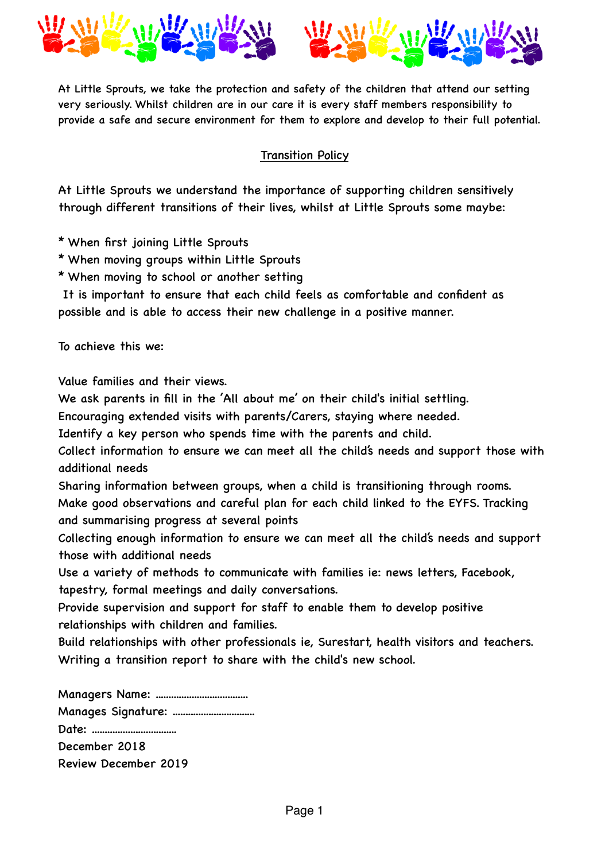

At Little Sprouts, we take the protection and safety of the children that attend our setting very seriously. Whilst children are in our care it is every staff members responsibility to provide a safe and secure environment for them to explore and develop to their full potential.

## Transition Policy

At Little Sprouts we understand the importance of supporting children sensitively through different transitions of their lives, whilst at Little Sprouts some maybe:

- \* When first joining Little Sprouts
- \* When moving groups within Little Sprouts
- \* When moving to school or another setting

 It is important to ensure that each child feels as comfortable and confident as possible and is able to access their new challenge in a positive manner.

To achieve this we:

Value families and their views.

We ask parents in fill in the 'All about me' on their child's initial settling.

Encouraging extended visits with parents/Carers, staying where needed.

Identify a key person who spends time with the parents and child.

Collect information to ensure we can meet all the child's needs and support those with additional needs

Sharing information between groups, when a child is transitioning through rooms. Make good observations and careful plan for each child linked to the EYFS. Tracking and summarising progress at several points

Collecting enough information to ensure we can meet all the child's needs and support those with additional needs

Use a variety of methods to communicate with families ie: news letters, Facebook, tapestry, formal meetings and daily conversations.

Provide supervision and support for staff to enable them to develop positive relationships with children and families.

Build relationships with other professionals ie, Surestart, health visitors and teachers. Writing a transition report to share with the child's new school.

Managers Name: .................................... Manages Signature: ................................ Date: ................................. December 2018 Review December 2019